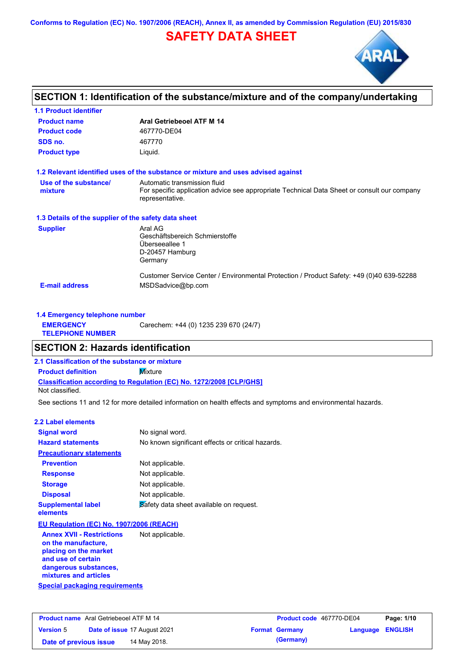**Conforms to Regulation (EC) No. 1907/2006 (REACH), Annex II, as amended by Commission Regulation (EU) 2015/830**

## **SAFETY DATA SHEET**



### **SECTION 1: Identification of the substance/mixture and of the company/undertaking**

| <b>1.1 Product identifier</b>                        |                                                                                                                                                |
|------------------------------------------------------|------------------------------------------------------------------------------------------------------------------------------------------------|
| <b>Product name</b>                                  | Aral Getriebeoel ATF M 14                                                                                                                      |
| <b>Product code</b>                                  | 467770-DE04                                                                                                                                    |
| SDS no.                                              | 467770                                                                                                                                         |
| <b>Product type</b>                                  | Liquid.                                                                                                                                        |
|                                                      | 1.2 Relevant identified uses of the substance or mixture and uses advised against                                                              |
| Use of the substance/<br>mixture                     | Automatic transmission fluid<br>For specific application advice see appropriate Technical Data Sheet or consult our company<br>representative. |
| 1.3 Details of the supplier of the safety data sheet |                                                                                                                                                |
| <b>Supplier</b>                                      | Aral AG<br>Geschäftsbereich Schmierstoffe<br>Überseeallee 1<br>D-20457 Hamburg<br>Germany                                                      |
| <b>E-mail address</b>                                | Customer Service Center / Environmental Protection / Product Safety: +49 (0)40 639-52288<br>MSDSadvice@bp.com                                  |

| 1.4 Emergency telephone number              |                                       |
|---------------------------------------------|---------------------------------------|
| <b>EMERGENCY</b><br><b>TELEPHONE NUMBER</b> | Carechem: +44 (0) 1235 239 670 (24/7) |

### **SECTION 2: Hazards identification**

**2.1 Classification of the substance or mixture**

**Classification according to Regulation (EC) No. 1272/2008 [CLP/GHS] Product definition** Mixture

Not classified.

See sections 11 and 12 for more detailed information on health effects and symptoms and environmental hazards.

#### **2.2 Label elements**

| <b>Signal word</b>                                                                                              | No signal word.                                   |
|-----------------------------------------------------------------------------------------------------------------|---------------------------------------------------|
| <b>Hazard statements</b>                                                                                        | No known significant effects or critical hazards. |
| <b>Precautionary statements</b>                                                                                 |                                                   |
| <b>Prevention</b>                                                                                               | Not applicable.                                   |
| <b>Response</b>                                                                                                 | Not applicable.                                   |
| <b>Storage</b>                                                                                                  | Not applicable.                                   |
| <b>Disposal</b>                                                                                                 | Not applicable.                                   |
| <b>Supplemental label</b><br>elements                                                                           | Safety data sheet available on request.           |
| EU Regulation (EC) No. 1907/2006 (REACH)                                                                        |                                                   |
| Andreas MARILE Proceed of the construction of the Maria School of the Maria School of the Maria School of the M |                                                   |

**Special packaging requirements Annex XVII - Restrictions on the manufacture, placing on the market and use of certain dangerous substances, mixtures and articles** Not applicable.

| <b>Product name</b> Aral Getriebeoel ATF M 14 |                                     | Product code 467770-DE04 |                         | Page: 1/10 |
|-----------------------------------------------|-------------------------------------|--------------------------|-------------------------|------------|
| <b>Version 5</b>                              | <b>Date of issue 17 August 2021</b> | <b>Format Germany</b>    | <b>Language ENGLISH</b> |            |
| Date of previous issue                        | 14 May 2018.                        | (Germany)                |                         |            |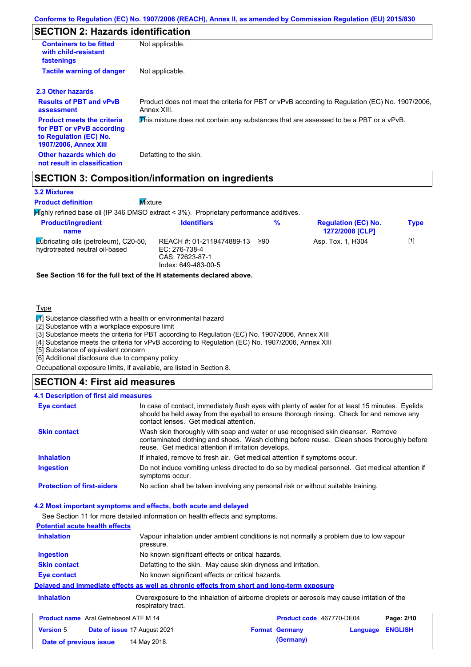### **SECTION 2: Hazards identification**

| <b>Containers to be fitted</b><br>with child-resistant<br>fastenings                                                     | Not applicable.                                                                                               |
|--------------------------------------------------------------------------------------------------------------------------|---------------------------------------------------------------------------------------------------------------|
| <b>Tactile warning of danger</b>                                                                                         | Not applicable.                                                                                               |
| 2.3 Other hazards                                                                                                        |                                                                                                               |
| <b>Results of PBT and vPvB</b><br>assessment                                                                             | Product does not meet the criteria for PBT or vPvB according to Regulation (EC) No. 1907/2006,<br>Annex XIII. |
| <b>Product meets the criteria</b><br>for PBT or vPvB according<br>to Regulation (EC) No.<br><b>1907/2006, Annex XIII</b> | This mixture does not contain any substances that are assessed to be a PBT or a vPvB.                         |
| Other hazards which do<br>not result in classification                                                                   | Defatting to the skin.                                                                                        |

### **SECTION 3: Composition/information on ingredients**

**Mixture** 

#### **3.2 Mixtures**

**Product definition**

 $H$ ighly refined base oil (IP 346 DMSO extract < 3%). Proprietary performance additives.

| <b>Product/ingredient</b><br>name                                              | <b>Identifiers</b>                                                                   | %   | <b>Regulation (EC) No.</b><br><b>1272/2008 [CLP]</b> | <b>Type</b> |
|--------------------------------------------------------------------------------|--------------------------------------------------------------------------------------|-----|------------------------------------------------------|-------------|
| <b>Zubricating oils (petroleum), C20-50,</b><br>hydrotreated neutral oil-based | REACH #: 01-2119474889-13<br>EC: 276-738-4<br>CAS: 72623-87-1<br>Index: 649-483-00-5 | ≥90 | Asp. Tox. 1, H304                                    | $[1]$       |

**See Section 16 for the full text of the H statements declared above.**

### **Type**

 $\boxed{1}$  Substance classified with a health or environmental hazard

[2] Substance with a workplace exposure limit

[3] Substance meets the criteria for PBT according to Regulation (EC) No. 1907/2006, Annex XIII

[4] Substance meets the criteria for vPvB according to Regulation (EC) No. 1907/2006, Annex XIII

[5] Substance of equivalent concern

[6] Additional disclosure due to company policy

Occupational exposure limits, if available, are listed in Section 8.

### **SECTION 4: First aid measures**

#### **4.1 Description of first aid measures**

| <b>Eye contact</b>                | In case of contact, immediately flush eyes with plenty of water for at least 15 minutes. Eyelids<br>should be held away from the eyeball to ensure thorough rinsing. Check for and remove any<br>contact lenses. Get medical attention. |
|-----------------------------------|-----------------------------------------------------------------------------------------------------------------------------------------------------------------------------------------------------------------------------------------|
| <b>Skin contact</b>               | Wash skin thoroughly with soap and water or use recognised skin cleanser. Remove<br>contaminated clothing and shoes. Wash clothing before reuse. Clean shoes thoroughly before<br>reuse. Get medical attention if irritation develops.  |
| <b>Inhalation</b>                 | If inhaled, remove to fresh air. Get medical attention if symptoms occur.                                                                                                                                                               |
| <b>Ingestion</b>                  | Do not induce vomiting unless directed to do so by medical personnel. Get medical attention if<br>symptoms occur.                                                                                                                       |
| <b>Protection of first-aiders</b> | No action shall be taken involving any personal risk or without suitable training.                                                                                                                                                      |

#### **4.2 Most important symptoms and effects, both acute and delayed**

See Section 11 for more detailed information on health effects and symptoms.

| <b>Potential acute health effects</b>         |                                                                                            |                                                                                             |                            |
|-----------------------------------------------|--------------------------------------------------------------------------------------------|---------------------------------------------------------------------------------------------|----------------------------|
| <b>Inhalation</b>                             | pressure.                                                                                  | Vapour inhalation under ambient conditions is not normally a problem due to low vapour      |                            |
| <b>Ingestion</b>                              | No known significant effects or critical hazards.                                          |                                                                                             |                            |
| <b>Skin contact</b>                           |                                                                                            | Defatting to the skin. May cause skin dryness and irritation.                               |                            |
| Eye contact                                   | No known significant effects or critical hazards.                                          |                                                                                             |                            |
|                                               | Delayed and immediate effects as well as chronic effects from short and long-term exposure |                                                                                             |                            |
| <b>Inhalation</b>                             | respiratory tract.                                                                         | Overexposure to the inhalation of airborne droplets or aerosols may cause irritation of the |                            |
| <b>Product name</b> Aral Getriebeoel ATF M 14 |                                                                                            | Product code 467770-DE04                                                                    | Page: 2/10                 |
| <b>Version 5</b>                              | Date of issue 17 August 2021                                                               | <b>Format Germany</b>                                                                       | <b>ENGLISH</b><br>Language |
| Date of previous issue                        | 14 May 2018.                                                                               | (Germany)                                                                                   |                            |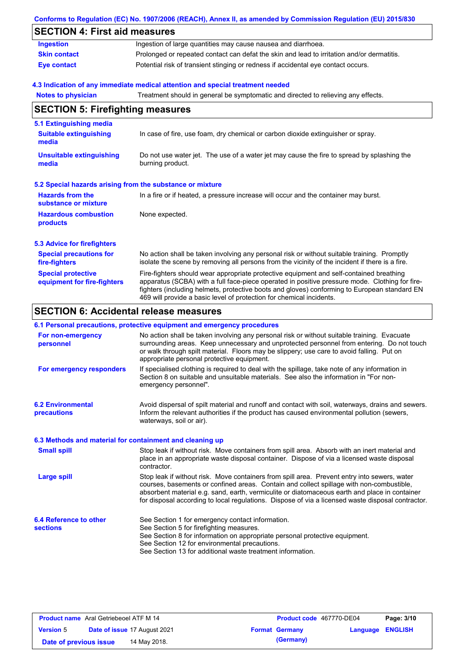|                                                           | Conforms to Regulation (EC) No. 1907/2006 (REACH), Annex II, as amended by Commission Regulation (EU) 2015/830                                                                                                                                                                                                                                                    |  |  |  |  |
|-----------------------------------------------------------|-------------------------------------------------------------------------------------------------------------------------------------------------------------------------------------------------------------------------------------------------------------------------------------------------------------------------------------------------------------------|--|--|--|--|
| <b>SECTION 4: First aid measures</b>                      |                                                                                                                                                                                                                                                                                                                                                                   |  |  |  |  |
| <b>Ingestion</b>                                          | Ingestion of large quantities may cause nausea and diarrhoea.                                                                                                                                                                                                                                                                                                     |  |  |  |  |
| <b>Skin contact</b>                                       | Prolonged or repeated contact can defat the skin and lead to irritation and/or dermatitis.                                                                                                                                                                                                                                                                        |  |  |  |  |
| <b>Eye contact</b>                                        | Potential risk of transient stinging or redness if accidental eye contact occurs.                                                                                                                                                                                                                                                                                 |  |  |  |  |
|                                                           | 4.3 Indication of any immediate medical attention and special treatment needed                                                                                                                                                                                                                                                                                    |  |  |  |  |
| <b>Notes to physician</b>                                 | Treatment should in general be symptomatic and directed to relieving any effects.                                                                                                                                                                                                                                                                                 |  |  |  |  |
| <b>SECTION 5: Firefighting measures</b>                   |                                                                                                                                                                                                                                                                                                                                                                   |  |  |  |  |
| 5.1 Extinguishing media                                   |                                                                                                                                                                                                                                                                                                                                                                   |  |  |  |  |
| <b>Suitable extinguishing</b><br>media                    | In case of fire, use foam, dry chemical or carbon dioxide extinguisher or spray.                                                                                                                                                                                                                                                                                  |  |  |  |  |
| <b>Unsuitable extinguishing</b><br>media                  | Do not use water jet. The use of a water jet may cause the fire to spread by splashing the<br>burning product.                                                                                                                                                                                                                                                    |  |  |  |  |
| 5.2 Special hazards arising from the substance or mixture |                                                                                                                                                                                                                                                                                                                                                                   |  |  |  |  |
| <b>Hazards from the</b><br>substance or mixture           | In a fire or if heated, a pressure increase will occur and the container may burst.                                                                                                                                                                                                                                                                               |  |  |  |  |
| <b>Hazardous combustion</b><br>products                   | None expected.                                                                                                                                                                                                                                                                                                                                                    |  |  |  |  |
| <b>5.3 Advice for firefighters</b>                        |                                                                                                                                                                                                                                                                                                                                                                   |  |  |  |  |
| <b>Special precautions for</b><br>fire-fighters           | No action shall be taken involving any personal risk or without suitable training. Promptly<br>isolate the scene by removing all persons from the vicinity of the incident if there is a fire.                                                                                                                                                                    |  |  |  |  |
| <b>Special protective</b><br>equipment for fire-fighters  | Fire-fighters should wear appropriate protective equipment and self-contained breathing<br>apparatus (SCBA) with a full face-piece operated in positive pressure mode. Clothing for fire-<br>fighters (including helmets, protective boots and gloves) conforming to European standard EN<br>469 will provide a basic level of protection for chemical incidents. |  |  |  |  |

## **SECTION 6: Accidental release measures**

### **6.1 Personal precautions, protective equipment and emergency procedures**

| For non-emergency<br>personnel                           | No action shall be taken involving any personal risk or without suitable training. Evacuate<br>surrounding areas. Keep unnecessary and unprotected personnel from entering. Do not touch<br>or walk through spilt material. Floors may be slippery; use care to avoid falling. Put on<br>appropriate personal protective equipment.                                                            |
|----------------------------------------------------------|------------------------------------------------------------------------------------------------------------------------------------------------------------------------------------------------------------------------------------------------------------------------------------------------------------------------------------------------------------------------------------------------|
| For emergency responders                                 | If specialised clothing is required to deal with the spillage, take note of any information in<br>Section 8 on suitable and unsuitable materials. See also the information in "For non-<br>emergency personnel".                                                                                                                                                                               |
| <b>6.2 Environmental</b><br>precautions                  | Avoid dispersal of spilt material and runoff and contact with soil, waterways, drains and sewers.<br>Inform the relevant authorities if the product has caused environmental pollution (sewers,<br>waterways, soil or air).                                                                                                                                                                    |
| 6.3 Methods and material for containment and cleaning up |                                                                                                                                                                                                                                                                                                                                                                                                |
| <b>Small spill</b>                                       | Stop leak if without risk. Move containers from spill area. Absorb with an inert material and<br>place in an appropriate waste disposal container. Dispose of via a licensed waste disposal<br>contractor.                                                                                                                                                                                     |
| <b>Large spill</b>                                       | Stop leak if without risk. Move containers from spill area. Prevent entry into sewers, water<br>courses, basements or confined areas. Contain and collect spillage with non-combustible,<br>absorbent material e.g. sand, earth, vermiculite or diatomaceous earth and place in container<br>for disposal according to local regulations. Dispose of via a licensed waste disposal contractor. |
| 6.4 Reference to other                                   | See Section 1 for emergency contact information.                                                                                                                                                                                                                                                                                                                                               |
| <b>sections</b>                                          | See Section 5 for firefighting measures.<br>See Section 8 for information on appropriate personal protective equipment.                                                                                                                                                                                                                                                                        |
|                                                          | See Section 12 for environmental precautions.                                                                                                                                                                                                                                                                                                                                                  |
|                                                          | See Section 13 for additional waste treatment information.                                                                                                                                                                                                                                                                                                                                     |

| <b>Product name</b> Aral Getriebeoel ATF M 14 |                                     | <b>Product code</b> 467770-DE04 |                         | Page: 3/10 |
|-----------------------------------------------|-------------------------------------|---------------------------------|-------------------------|------------|
| <b>Version 5</b>                              | <b>Date of issue 17 August 2021</b> | <b>Format Germany</b>           | <b>Language ENGLISH</b> |            |
| Date of previous issue                        | 14 May 2018.                        | (Germany)                       |                         |            |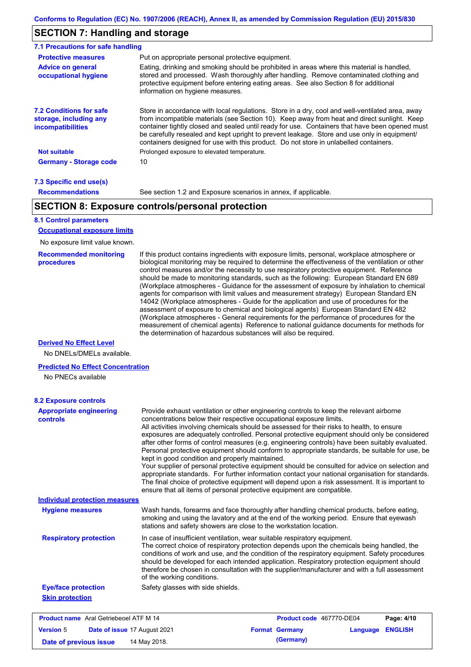### **SECTION 7: Handling and storage**

| <b>Protective measures</b>                                                           | Put on appropriate personal protective equipment.                                                                                                                                                                                                                                                                                                                                                                                                                                        |
|--------------------------------------------------------------------------------------|------------------------------------------------------------------------------------------------------------------------------------------------------------------------------------------------------------------------------------------------------------------------------------------------------------------------------------------------------------------------------------------------------------------------------------------------------------------------------------------|
| <b>Advice on general</b><br>occupational hygiene                                     | Eating, drinking and smoking should be prohibited in areas where this material is handled.<br>stored and processed. Wash thoroughly after handling. Remove contaminated clothing and<br>protective equipment before entering eating areas. See also Section 8 for additional<br>information on hygiene measures.                                                                                                                                                                         |
| <b>7.2 Conditions for safe</b><br>storage, including any<br><i>incompatibilities</i> | Store in accordance with local regulations. Store in a dry, cool and well-ventilated area, away<br>from incompatible materials (see Section 10). Keep away from heat and direct sunlight. Keep<br>container tightly closed and sealed until ready for use. Containers that have been opened must<br>be carefully resealed and kept upright to prevent leakage. Store and use only in equipment/<br>containers designed for use with this product. Do not store in unlabelled containers. |
| <b>Not suitable</b>                                                                  | Prolonged exposure to elevated temperature.                                                                                                                                                                                                                                                                                                                                                                                                                                              |
| <b>Germany - Storage code</b>                                                        | 10                                                                                                                                                                                                                                                                                                                                                                                                                                                                                       |

#### **7.3 Specific end use(s) Recommendations**

See section 1.2 and Exposure scenarios in annex, if applicable.

### **SECTION 8: Exposure controls/personal protection**

### **8.1 Control parameters**

**Occupational exposure limits**

No exposure limit value known.

#### **Recommended monitoring procedures**

If this product contains ingredients with exposure limits, personal, workplace atmosphere or biological monitoring may be required to determine the effectiveness of the ventilation or other control measures and/or the necessity to use respiratory protective equipment. Reference should be made to monitoring standards, such as the following: European Standard EN 689 (Workplace atmospheres - Guidance for the assessment of exposure by inhalation to chemical agents for comparison with limit values and measurement strategy) European Standard EN 14042 (Workplace atmospheres - Guide for the application and use of procedures for the assessment of exposure to chemical and biological agents) European Standard EN 482 (Workplace atmospheres - General requirements for the performance of procedures for the measurement of chemical agents) Reference to national guidance documents for methods for the determination of hazardous substances will also be required.

#### **Derived No Effect Level**

No DNELs/DMELs available.

#### **Predicted No Effect Concentration**

No PNECs available

| <b>8.2 Exposure controls</b>                     |                                                                                                                                                                                                                                                                                                                                                                                                                                                                                                                                                                                                                                                                                                                                                                                                                                                                                                                                                                                                         |                       |                          |                |            |
|--------------------------------------------------|---------------------------------------------------------------------------------------------------------------------------------------------------------------------------------------------------------------------------------------------------------------------------------------------------------------------------------------------------------------------------------------------------------------------------------------------------------------------------------------------------------------------------------------------------------------------------------------------------------------------------------------------------------------------------------------------------------------------------------------------------------------------------------------------------------------------------------------------------------------------------------------------------------------------------------------------------------------------------------------------------------|-----------------------|--------------------------|----------------|------------|
| <b>Appropriate engineering</b><br>controls       | Provide exhaust ventilation or other engineering controls to keep the relevant airborne<br>concentrations below their respective occupational exposure limits.<br>All activities involving chemicals should be assessed for their risks to health, to ensure<br>exposures are adequately controlled. Personal protective equipment should only be considered<br>after other forms of control measures (e.g. engineering controls) have been suitably evaluated.<br>Personal protective equipment should conform to appropriate standards, be suitable for use, be<br>kept in good condition and properly maintained.<br>Your supplier of personal protective equipment should be consulted for advice on selection and<br>appropriate standards. For further information contact your national organisation for standards.<br>The final choice of protective equipment will depend upon a risk assessment. It is important to<br>ensure that all items of personal protective equipment are compatible. |                       |                          |                |            |
| <b>Individual protection measures</b>            |                                                                                                                                                                                                                                                                                                                                                                                                                                                                                                                                                                                                                                                                                                                                                                                                                                                                                                                                                                                                         |                       |                          |                |            |
| <b>Hygiene measures</b>                          | Wash hands, forearms and face thoroughly after handling chemical products, before eating,<br>smoking and using the lavatory and at the end of the working period. Ensure that eyewash<br>stations and safety showers are close to the workstation location.                                                                                                                                                                                                                                                                                                                                                                                                                                                                                                                                                                                                                                                                                                                                             |                       |                          |                |            |
| <b>Respiratory protection</b>                    | In case of insufficient ventilation, wear suitable respiratory equipment.<br>The correct choice of respiratory protection depends upon the chemicals being handled, the<br>conditions of work and use, and the condition of the respiratory equipment. Safety procedures<br>should be developed for each intended application. Respiratory protection equipment should<br>therefore be chosen in consultation with the supplier/manufacturer and with a full assessment<br>of the working conditions.                                                                                                                                                                                                                                                                                                                                                                                                                                                                                                   |                       |                          |                |            |
| <b>Eye/face protection</b>                       | Safety glasses with side shields.                                                                                                                                                                                                                                                                                                                                                                                                                                                                                                                                                                                                                                                                                                                                                                                                                                                                                                                                                                       |                       |                          |                |            |
| <b>Skin protection</b>                           |                                                                                                                                                                                                                                                                                                                                                                                                                                                                                                                                                                                                                                                                                                                                                                                                                                                                                                                                                                                                         |                       |                          |                |            |
| <b>Product name</b> Aral Getriebeoel ATF M 14    |                                                                                                                                                                                                                                                                                                                                                                                                                                                                                                                                                                                                                                                                                                                                                                                                                                                                                                                                                                                                         |                       | Product code 467770-DE04 |                | Page: 4/10 |
| <b>Version 5</b><br>Date of issue 17 August 2021 |                                                                                                                                                                                                                                                                                                                                                                                                                                                                                                                                                                                                                                                                                                                                                                                                                                                                                                                                                                                                         | <b>Format Germany</b> | Language                 | <b>ENGLISH</b> |            |

**Date of previous issue 14 May 2018. (Germany) (Germany)**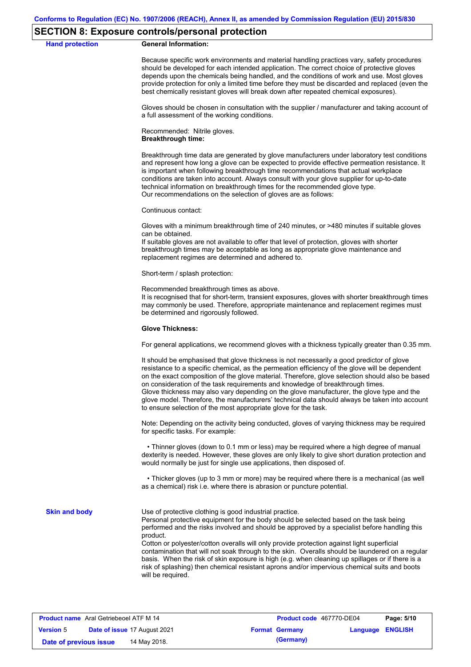### **SECTION 8: Exposure controls/personal protection**

#### **Hand protection General Information:**

Because specific work environments and material handling practices vary, safety procedures should be developed for each intended application. The correct choice of protective gloves depends upon the chemicals being handled, and the conditions of work and use. Most gloves provide protection for only a limited time before they must be discarded and replaced (even the best chemically resistant gloves will break down after repeated chemical exposures).

Gloves should be chosen in consultation with the supplier / manufacturer and taking account of a full assessment of the working conditions.

Recommended: Nitrile gloves. **Breakthrough time:**

Breakthrough time data are generated by glove manufacturers under laboratory test conditions and represent how long a glove can be expected to provide effective permeation resistance. It is important when following breakthrough time recommendations that actual workplace conditions are taken into account. Always consult with your glove supplier for up-to-date technical information on breakthrough times for the recommended glove type. Our recommendations on the selection of gloves are as follows:

Continuous contact:

Gloves with a minimum breakthrough time of 240 minutes, or >480 minutes if suitable gloves can be obtained.

If suitable gloves are not available to offer that level of protection, gloves with shorter breakthrough times may be acceptable as long as appropriate glove maintenance and replacement regimes are determined and adhered to.

Short-term / splash protection:

Recommended breakthrough times as above.

It is recognised that for short-term, transient exposures, gloves with shorter breakthrough times may commonly be used. Therefore, appropriate maintenance and replacement regimes must be determined and rigorously followed.

#### **Glove Thickness:**

For general applications, we recommend gloves with a thickness typically greater than 0.35 mm.

It should be emphasised that glove thickness is not necessarily a good predictor of glove resistance to a specific chemical, as the permeation efficiency of the glove will be dependent on the exact composition of the glove material. Therefore, glove selection should also be based on consideration of the task requirements and knowledge of breakthrough times. Glove thickness may also vary depending on the glove manufacturer, the glove type and the glove model. Therefore, the manufacturers' technical data should always be taken into account to ensure selection of the most appropriate glove for the task.

Note: Depending on the activity being conducted, gloves of varying thickness may be required for specific tasks. For example:

 • Thinner gloves (down to 0.1 mm or less) may be required where a high degree of manual dexterity is needed. However, these gloves are only likely to give short duration protection and would normally be just for single use applications, then disposed of.

 • Thicker gloves (up to 3 mm or more) may be required where there is a mechanical (as well as a chemical) risk i.e. where there is abrasion or puncture potential.

**Skin and body**

Use of protective clothing is good industrial practice.

Personal protective equipment for the body should be selected based on the task being performed and the risks involved and should be approved by a specialist before handling this product.

Cotton or polyester/cotton overalls will only provide protection against light superficial contamination that will not soak through to the skin. Overalls should be laundered on a regular basis. When the risk of skin exposure is high (e.g. when cleaning up spillages or if there is a risk of splashing) then chemical resistant aprons and/or impervious chemical suits and boots will be required.

| <b>Product name</b> Aral Getriebeoel ATF M 14 |                                     | Product code 467770-DE04 |                         | Page: 5/10 |
|-----------------------------------------------|-------------------------------------|--------------------------|-------------------------|------------|
| <b>Version 5</b>                              | <b>Date of issue 17 August 2021</b> | <b>Format Germany</b>    | <b>Language ENGLISH</b> |            |
| Date of previous issue                        | 14 May 2018.                        | (Germany)                |                         |            |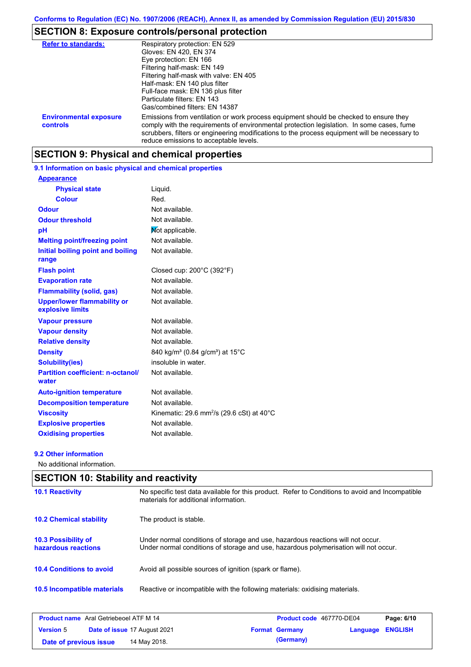## **SECTION 8: Exposure controls/personal protection**

| <b>Refer to standards:</b>                | Respiratory protection: EN 529                                                                                                                                                                                                                                                                                                |
|-------------------------------------------|-------------------------------------------------------------------------------------------------------------------------------------------------------------------------------------------------------------------------------------------------------------------------------------------------------------------------------|
|                                           | Gloves: EN 420, EN 374                                                                                                                                                                                                                                                                                                        |
|                                           | Eye protection: EN 166                                                                                                                                                                                                                                                                                                        |
|                                           | Filtering half-mask: EN 149                                                                                                                                                                                                                                                                                                   |
|                                           | Filtering half-mask with valve: EN 405                                                                                                                                                                                                                                                                                        |
|                                           | Half-mask: EN 140 plus filter                                                                                                                                                                                                                                                                                                 |
|                                           | Full-face mask: EN 136 plus filter                                                                                                                                                                                                                                                                                            |
|                                           | Particulate filters: EN 143                                                                                                                                                                                                                                                                                                   |
|                                           | Gas/combined filters: EN 14387                                                                                                                                                                                                                                                                                                |
| <b>Environmental exposure</b><br>controls | Emissions from ventilation or work process equipment should be checked to ensure they<br>comply with the requirements of environmental protection legislation. In some cases, fume<br>scrubbers, filters or engineering modifications to the process equipment will be necessary to<br>reduce emissions to acceptable levels. |

### **SECTION 9: Physical and chemical properties**

### **9.1 Information on basic physical and chemical properties**

| <b>Appearance</b>                                      |                                                                 |
|--------------------------------------------------------|-----------------------------------------------------------------|
| <b>Physical state</b>                                  | Liquid.                                                         |
| <b>Colour</b>                                          | Red.                                                            |
| <b>Odour</b>                                           | Not available.                                                  |
| <b>Odour threshold</b>                                 | Not available.                                                  |
| рH                                                     | Mot applicable.                                                 |
| <b>Melting point/freezing point</b>                    | Not available.                                                  |
| Initial boiling point and boiling<br>range             | Not available.                                                  |
| <b>Flash point</b>                                     | Closed cup: $200^{\circ}$ C (392 $^{\circ}$ F)                  |
| <b>Evaporation rate</b>                                | Not available.                                                  |
| <b>Flammability (solid, gas)</b>                       | Not available.                                                  |
| <b>Upper/lower flammability or</b><br>explosive limits | Not available.                                                  |
| <b>Vapour pressure</b>                                 | Not available.                                                  |
| <b>Vapour density</b>                                  | Not available.                                                  |
| <b>Relative density</b>                                | Not available.                                                  |
| <b>Density</b>                                         | 840 kg/m <sup>3</sup> (0.84 g/cm <sup>3</sup> ) at 15°C         |
| <b>Solubility(ies)</b>                                 | insoluble in water.                                             |
| <b>Partition coefficient: n-octanol/</b><br>water      | Not available.                                                  |
| <b>Auto-ignition temperature</b>                       | Not available.                                                  |
| <b>Decomposition temperature</b>                       | Not available.                                                  |
| <b>Viscosity</b>                                       | Kinematic: 29.6 mm <sup>2</sup> /s (29.6 cSt) at $40^{\circ}$ C |
| <b>Explosive properties</b>                            | Not available.                                                  |
| <b>Oxidising properties</b>                            | Not available.                                                  |

#### **9.2 Other information**

No additional information.

### **SECTION 10: Stability and reactivity**

| <b>10.1 Reactivity</b>                            | No specific test data available for this product. Refer to Conditions to avoid and Incompatible<br>materials for additional information.                                |
|---------------------------------------------------|-------------------------------------------------------------------------------------------------------------------------------------------------------------------------|
| <b>10.2 Chemical stability</b>                    | The product is stable.                                                                                                                                                  |
| <b>10.3 Possibility of</b><br>hazardous reactions | Under normal conditions of storage and use, hazardous reactions will not occur.<br>Under normal conditions of storage and use, hazardous polymerisation will not occur. |
| <b>10.4 Conditions to avoid</b>                   | Avoid all possible sources of ignition (spark or flame).                                                                                                                |
| 10.5 Incompatible materials                       | Reactive or incompatible with the following materials: oxidising materials.                                                                                             |

| <b>Product name</b> Aral Getriebeoel ATF M 14 |                                     | Product code 467770-DE04 |                         | Page: 6/10 |
|-----------------------------------------------|-------------------------------------|--------------------------|-------------------------|------------|
| <b>Version 5</b>                              | <b>Date of issue 17 August 2021</b> | <b>Format Germany</b>    | <b>Language ENGLISH</b> |            |
| Date of previous issue                        | 14 May 2018.                        | (Germany)                |                         |            |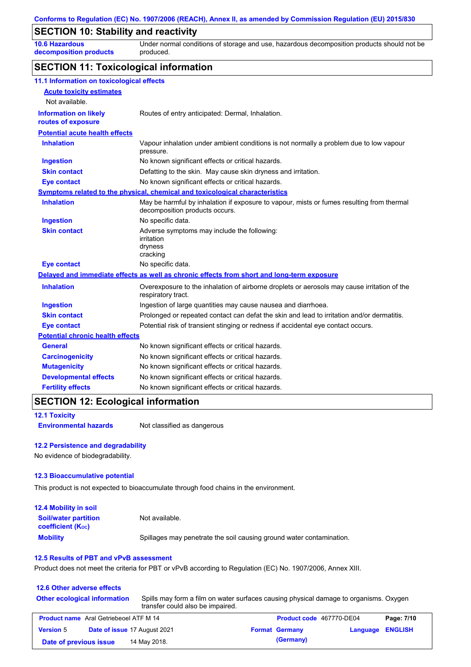## **SECTION 10: Stability and reactivity**

**10.6 Hazardous decomposition products** Under normal conditions of storage and use, hazardous decomposition products should not be produced.

### **SECTION 11: Toxicological information**

| 11.1 Information on toxicological effects          |                                                                                                                             |
|----------------------------------------------------|-----------------------------------------------------------------------------------------------------------------------------|
| <b>Acute toxicity estimates</b>                    |                                                                                                                             |
| Not available.                                     |                                                                                                                             |
| <b>Information on likely</b><br>routes of exposure | Routes of entry anticipated: Dermal, Inhalation.                                                                            |
| <b>Potential acute health effects</b>              |                                                                                                                             |
| <b>Inhalation</b>                                  | Vapour inhalation under ambient conditions is not normally a problem due to low vapour<br>pressure.                         |
| <b>Ingestion</b>                                   | No known significant effects or critical hazards.                                                                           |
| <b>Skin contact</b>                                | Defatting to the skin. May cause skin dryness and irritation.                                                               |
| <b>Eye contact</b>                                 | No known significant effects or critical hazards.                                                                           |
|                                                    | Symptoms related to the physical, chemical and toxicological characteristics                                                |
| <b>Inhalation</b>                                  | May be harmful by inhalation if exposure to vapour, mists or fumes resulting from thermal<br>decomposition products occurs. |
| <b>Ingestion</b>                                   | No specific data.                                                                                                           |
| <b>Skin contact</b>                                | Adverse symptoms may include the following:<br>irritation<br>dryness<br>cracking                                            |
| <b>Eye contact</b>                                 | No specific data.                                                                                                           |
|                                                    | Delayed and immediate effects as well as chronic effects from short and long-term exposure                                  |
| <b>Inhalation</b>                                  | Overexposure to the inhalation of airborne droplets or aerosols may cause irritation of the<br>respiratory tract.           |
| <b>Ingestion</b>                                   | Ingestion of large quantities may cause nausea and diarrhoea.                                                               |
| <b>Skin contact</b>                                | Prolonged or repeated contact can defat the skin and lead to irritation and/or dermatitis.                                  |
| <b>Eye contact</b>                                 | Potential risk of transient stinging or redness if accidental eye contact occurs.                                           |
| <b>Potential chronic health effects</b>            |                                                                                                                             |
| <b>General</b>                                     | No known significant effects or critical hazards.                                                                           |
| <b>Carcinogenicity</b>                             | No known significant effects or critical hazards.                                                                           |
| <b>Mutagenicity</b>                                | No known significant effects or critical hazards.                                                                           |
| <b>Developmental effects</b>                       | No known significant effects or critical hazards.                                                                           |
| <b>Fertility effects</b>                           | No known significant effects or critical hazards.                                                                           |
|                                                    |                                                                                                                             |

### **SECTION 12: Ecological information**

**12.1 Toxicity**

**Environmental hazards** Not classified as dangerous

#### **12.2 Persistence and degradability**

No evidence of biodegradability.

#### **12.3 Bioaccumulative potential**

This product is not expected to bioaccumulate through food chains in the environment.

| <b>12.4 Mobility in soil</b>                                         |                                                                      |
|----------------------------------------------------------------------|----------------------------------------------------------------------|
| <b>Soil/water partition</b><br><b>coefficient</b> (K <sub>oc</sub> ) | Not available.                                                       |
| <b>Mobility</b>                                                      | Spillages may penetrate the soil causing ground water contamination. |

#### **12.5 Results of PBT and vPvB assessment**

Product does not meet the criteria for PBT or vPvB according to Regulation (EC) No. 1907/2006, Annex XIII.

#### **12.6 Other adverse effects**

| <b>Other ecological information</b> | Spills may form a film on water surfaces causing physical damage to organisms. Oxygen<br>transfer could also be impaired. |
|-------------------------------------|---------------------------------------------------------------------------------------------------------------------------|
|                                     |                                                                                                                           |

| <b>Product name</b> Aral Getriebeoel ATF M 14 |                                     | Product code 467770-DE04 |                         | Page: 7/10 |
|-----------------------------------------------|-------------------------------------|--------------------------|-------------------------|------------|
| <b>Version 5</b>                              | <b>Date of issue 17 August 2021</b> | <b>Format Germany</b>    | <b>Language ENGLISH</b> |            |
| Date of previous issue                        | 14 May 2018.                        | (Germany)                |                         |            |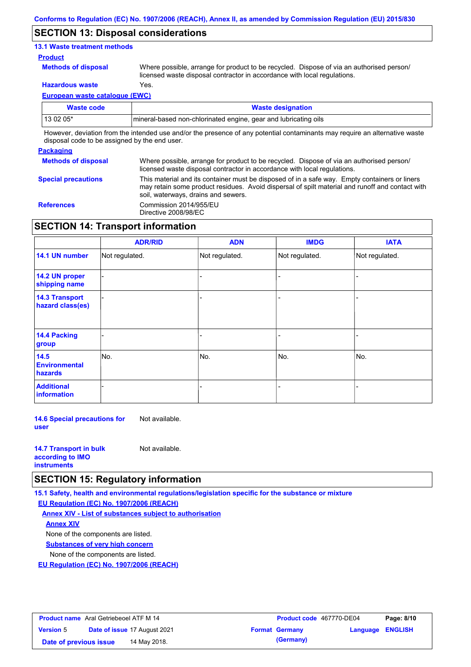### **SECTION 13: Disposal considerations**

### **13.1 Waste treatment methods**

#### **Product**

**Methods of disposal**

Where possible, arrange for product to be recycled. Dispose of via an authorised person/ licensed waste disposal contractor in accordance with local regulations.

**Hazardous waste** Yes.

**European waste catalogue (EWC)**

| Waste code                                                                                                                  | <b>Waste designation</b>                                         |  |
|-----------------------------------------------------------------------------------------------------------------------------|------------------------------------------------------------------|--|
| 13 02 05*                                                                                                                   | Imineral-based non-chlorinated engine, gear and lubricating oils |  |
| However, deviation from the intended use and/or the presence of any potential contaminants may require an alternative waste |                                                                  |  |

**Packaging** disposal code to be assigned by the end user.

| <b>Methods of disposal</b> | Where possible, arrange for product to be recycled. Dispose of via an authorised person/<br>licensed waste disposal contractor in accordance with local regulations.                                                                    |
|----------------------------|-----------------------------------------------------------------------------------------------------------------------------------------------------------------------------------------------------------------------------------------|
| <b>Special precautions</b> | This material and its container must be disposed of in a safe way. Empty containers or liners<br>may retain some product residues. Avoid dispersal of spilt material and runoff and contact with<br>soil, waterways, drains and sewers. |
| <b>References</b>          | Commission 2014/955/EU<br>Directive 2008/98/EC                                                                                                                                                                                          |

## **SECTION 14: Transport information**

|                                           | <b>ADR/RID</b> | <b>ADN</b>     | <b>IMDG</b>    | <b>IATA</b>    |
|-------------------------------------------|----------------|----------------|----------------|----------------|
| 14.1 UN number                            | Not regulated. | Not regulated. | Not regulated. | Not regulated. |
| 14.2 UN proper<br>shipping name           |                |                |                |                |
| <b>14.3 Transport</b><br>hazard class(es) |                |                |                |                |
| 14.4 Packing<br>group                     |                |                |                |                |
| 14.5<br><b>Environmental</b><br>hazards   | No.            | No.            | No.            | No.            |
| <b>Additional</b><br>information          |                |                |                |                |

**14.6 Special precautions for user** Not available.

| <b>14.7 Transport in bulk</b> | Not available. |
|-------------------------------|----------------|
| according to <b>IMO</b>       |                |
| <b>instruments</b>            |                |

### **SECTION 15: Regulatory information**

**15.1 Safety, health and environmental regulations/legislation specific for the substance or mixture**

**EU Regulation (EC) No. 1907/2006 (REACH)**

**Annex XIV - List of substances subject to authorisation Substances of very high concern** None of the components are listed. None of the components are listed. **Annex XIV**

**EU Regulation (EC) No. 1907/2006 (REACH)**

| <b>Product name</b> Aral Getriebeoel ATF M 14 |  |                              | Product code 467770-DE04 |                       | Page: 8/10              |  |
|-----------------------------------------------|--|------------------------------|--------------------------|-----------------------|-------------------------|--|
| <b>Version 5</b>                              |  | Date of issue 17 August 2021 |                          | <b>Format Germany</b> | <b>Language ENGLISH</b> |  |
| Date of previous issue                        |  | 14 May 2018.                 |                          | (Germany)             |                         |  |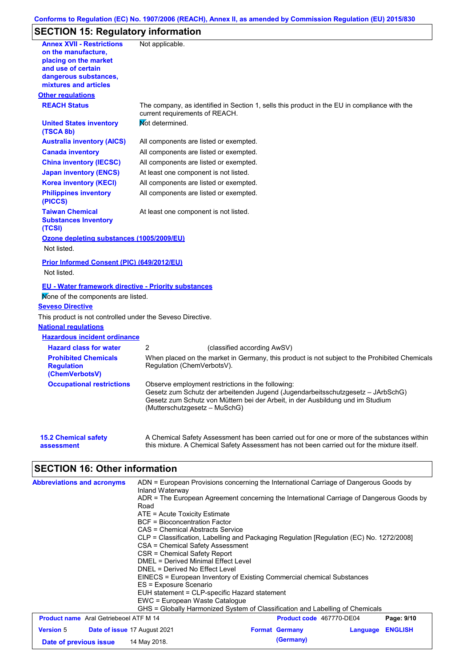### **Conforms to Regulation (EC) No. 1907/2006 (REACH), Annex II, as amended by Commission Regulation (EU) 2015/830**

# **SECTION 15: Regulatory information**

| placing on the market<br>and use of certain<br>dangerous substances,<br>mixtures and articles | Not applicable.                                                                                                                                                                                                                                         |
|-----------------------------------------------------------------------------------------------|---------------------------------------------------------------------------------------------------------------------------------------------------------------------------------------------------------------------------------------------------------|
| <b>Other regulations</b>                                                                      |                                                                                                                                                                                                                                                         |
| <b>REACH Status</b>                                                                           | The company, as identified in Section 1, sells this product in the EU in compliance with the<br>current requirements of REACH.                                                                                                                          |
| <b>United States inventory</b><br>(TSCA 8b)                                                   | Mot determined.                                                                                                                                                                                                                                         |
| <b>Australia inventory (AICS)</b>                                                             | All components are listed or exempted.                                                                                                                                                                                                                  |
| <b>Canada inventory</b>                                                                       | All components are listed or exempted.                                                                                                                                                                                                                  |
| <b>China inventory (IECSC)</b>                                                                | All components are listed or exempted.                                                                                                                                                                                                                  |
| <b>Japan inventory (ENCS)</b>                                                                 | At least one component is not listed.                                                                                                                                                                                                                   |
| <b>Korea inventory (KECI)</b>                                                                 | All components are listed or exempted.                                                                                                                                                                                                                  |
| <b>Philippines inventory</b><br>(PICCS)                                                       | All components are listed or exempted.                                                                                                                                                                                                                  |
| <b>Taiwan Chemical</b><br><b>Substances Inventory</b><br>(TCSI)                               | At least one component is not listed.                                                                                                                                                                                                                   |
| Ozone depleting substances (1005/2009/EU)                                                     |                                                                                                                                                                                                                                                         |
|                                                                                               |                                                                                                                                                                                                                                                         |
| Not listed.                                                                                   |                                                                                                                                                                                                                                                         |
|                                                                                               |                                                                                                                                                                                                                                                         |
| Prior Informed Consent (PIC) (649/2012/EU)<br>Not listed.                                     |                                                                                                                                                                                                                                                         |
| <b>EU - Water framework directive - Priority substances</b>                                   |                                                                                                                                                                                                                                                         |
| Mone of the components are listed.                                                            |                                                                                                                                                                                                                                                         |
|                                                                                               |                                                                                                                                                                                                                                                         |
|                                                                                               |                                                                                                                                                                                                                                                         |
| This product is not controlled under the Seveso Directive.<br><b>National regulations</b>     |                                                                                                                                                                                                                                                         |
| <b>Hazardous incident ordinance</b>                                                           |                                                                                                                                                                                                                                                         |
| <b>Seveso Directive</b><br><b>Hazard class for water</b>                                      | 2<br>(classified according AwSV)                                                                                                                                                                                                                        |
| <b>Prohibited Chemicals</b><br><b>Requlation</b><br>(ChemVerbotsV)                            | When placed on the market in Germany, this product is not subject to the Prohibited Chemicals<br>Regulation (ChemVerbotsV).                                                                                                                             |
| <b>Occupational restrictions</b>                                                              | Observe employment restrictions in the following:<br>Gesetz zum Schutz der arbeitenden Jugend (Jugendarbeitsschutzgesetz - JArbSchG)<br>Gesetz zum Schutz von Müttern bei der Arbeit, in der Ausbildung und im Studium<br>(Mutterschutzgesetz – MuSchG) |

| <b>Abbreviations and acronyms</b>             | ADN = European Provisions concerning the International Carriage of Dangerous Goods by<br>Inland Waterway |                       |                                 |          |                |  |  |
|-----------------------------------------------|----------------------------------------------------------------------------------------------------------|-----------------------|---------------------------------|----------|----------------|--|--|
|                                               | ADR = The European Agreement concerning the International Carriage of Dangerous Goods by                 |                       |                                 |          |                |  |  |
|                                               | Road<br>$ATE = Acute Toxicity Estimate$                                                                  |                       |                                 |          |                |  |  |
|                                               | <b>BCF</b> = Bioconcentration Factor                                                                     |                       |                                 |          |                |  |  |
|                                               | CAS = Chemical Abstracts Service                                                                         |                       |                                 |          |                |  |  |
|                                               | CLP = Classification, Labelling and Packaging Regulation [Regulation (EC) No. 1272/2008]                 |                       |                                 |          |                |  |  |
|                                               | CSA = Chemical Safety Assessment<br>CSR = Chemical Safety Report                                         |                       |                                 |          |                |  |  |
|                                               | DMEL = Derived Minimal Effect Level                                                                      |                       |                                 |          |                |  |  |
|                                               | DNEL = Derived No Effect Level                                                                           |                       |                                 |          |                |  |  |
|                                               | EINECS = European Inventory of Existing Commercial chemical Substances                                   |                       |                                 |          |                |  |  |
|                                               | ES = Exposure Scenario                                                                                   |                       |                                 |          |                |  |  |
|                                               | EUH statement = CLP-specific Hazard statement                                                            |                       |                                 |          |                |  |  |
|                                               | EWC = European Waste Cataloque                                                                           |                       |                                 |          |                |  |  |
|                                               | GHS = Globally Harmonized System of Classification and Labelling of Chemicals                            |                       |                                 |          |                |  |  |
| <b>Product name</b> Aral Getriebeoel ATF M 14 |                                                                                                          |                       | <b>Product code</b> 467770-DE04 |          | Page: 9/10     |  |  |
| <b>Version 5</b>                              | <b>Date of issue 17 August 2021</b>                                                                      | <b>Format Germany</b> |                                 | Language | <b>ENGLISH</b> |  |  |
| Date of previous issue                        | 14 May 2018.                                                                                             |                       | (Germany)                       |          |                |  |  |